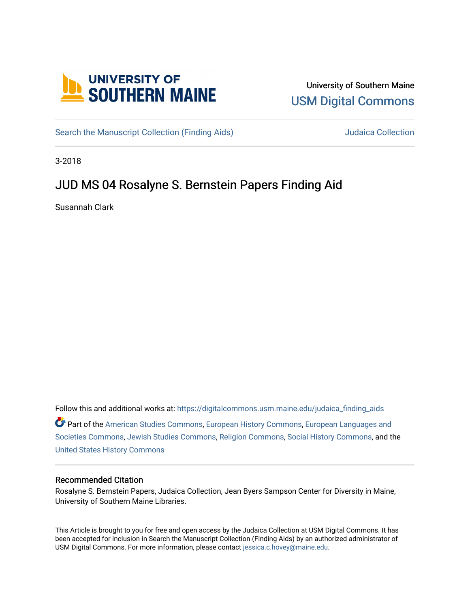

## University of Southern Maine [USM Digital Commons](https://digitalcommons.usm.maine.edu/)

[Search the Manuscript Collection \(Finding Aids\)](https://digitalcommons.usm.maine.edu/judaica_finding_aids) Search the Manuscript Collection

3-2018

# JUD MS 04 Rosalyne S. Bernstein Papers Finding Aid

Susannah Clark

Follow this and additional works at: [https://digitalcommons.usm.maine.edu/judaica\\_finding\\_aids](https://digitalcommons.usm.maine.edu/judaica_finding_aids?utm_source=digitalcommons.usm.maine.edu%2Fjudaica_finding_aids%2F4&utm_medium=PDF&utm_campaign=PDFCoverPages) 

Part of the [American Studies Commons](http://network.bepress.com/hgg/discipline/439?utm_source=digitalcommons.usm.maine.edu%2Fjudaica_finding_aids%2F4&utm_medium=PDF&utm_campaign=PDFCoverPages), [European History Commons](http://network.bepress.com/hgg/discipline/492?utm_source=digitalcommons.usm.maine.edu%2Fjudaica_finding_aids%2F4&utm_medium=PDF&utm_campaign=PDFCoverPages), [European Languages and](http://network.bepress.com/hgg/discipline/482?utm_source=digitalcommons.usm.maine.edu%2Fjudaica_finding_aids%2F4&utm_medium=PDF&utm_campaign=PDFCoverPages) [Societies Commons](http://network.bepress.com/hgg/discipline/482?utm_source=digitalcommons.usm.maine.edu%2Fjudaica_finding_aids%2F4&utm_medium=PDF&utm_campaign=PDFCoverPages), [Jewish Studies Commons](http://network.bepress.com/hgg/discipline/479?utm_source=digitalcommons.usm.maine.edu%2Fjudaica_finding_aids%2F4&utm_medium=PDF&utm_campaign=PDFCoverPages), [Religion Commons](http://network.bepress.com/hgg/discipline/538?utm_source=digitalcommons.usm.maine.edu%2Fjudaica_finding_aids%2F4&utm_medium=PDF&utm_campaign=PDFCoverPages), [Social History Commons,](http://network.bepress.com/hgg/discipline/506?utm_source=digitalcommons.usm.maine.edu%2Fjudaica_finding_aids%2F4&utm_medium=PDF&utm_campaign=PDFCoverPages) and the [United States History Commons](http://network.bepress.com/hgg/discipline/495?utm_source=digitalcommons.usm.maine.edu%2Fjudaica_finding_aids%2F4&utm_medium=PDF&utm_campaign=PDFCoverPages)

#### Recommended Citation

Rosalyne S. Bernstein Papers, Judaica Collection, Jean Byers Sampson Center for Diversity in Maine, University of Southern Maine Libraries.

This Article is brought to you for free and open access by the Judaica Collection at USM Digital Commons. It has been accepted for inclusion in Search the Manuscript Collection (Finding Aids) by an authorized administrator of USM Digital Commons. For more information, please contact [jessica.c.hovey@maine.edu](mailto:ian.fowler@maine.edu).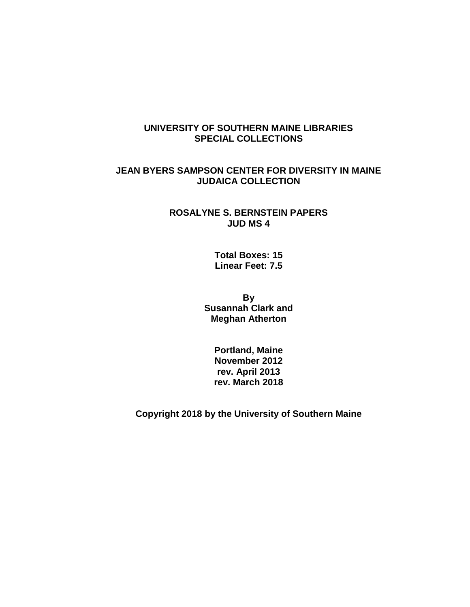## **UNIVERSITY OF SOUTHERN MAINE LIBRARIES SPECIAL COLLECTIONS**

## **JEAN BYERS SAMPSON CENTER FOR DIVERSITY IN MAINE JUDAICA COLLECTION**

#### **ROSALYNE S. BERNSTEIN PAPERS JUD MS 4**

**Total Boxes: 15 Linear Feet: 7.5**

**By Susannah Clark and Meghan Atherton**

> **Portland, Maine November 2012 rev. April 2013 rev. March 2018**

**Copyright 2018 by the University of Southern Maine**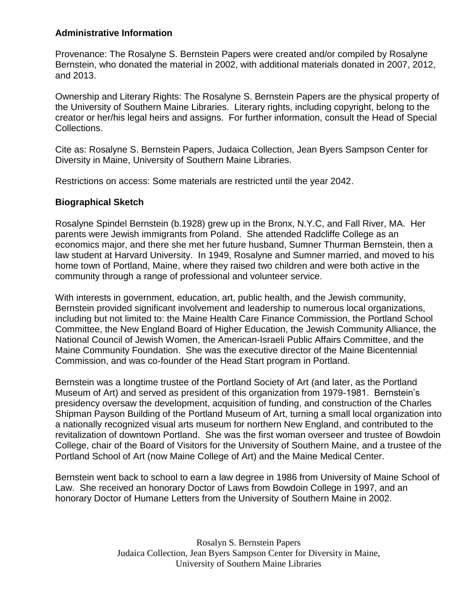## **Administrative Information**

Provenance: The Rosalyne S. Bernstein Papers were created and/or compiled by Rosalyne Bernstein, who donated the material in 2002, with additional materials donated in 2007, 2012, and 2013.

Ownership and Literary Rights: The Rosalyne S. Bernstein Papers are the physical property of the University of Southern Maine Libraries. Literary rights, including copyright, belong to the creator or her/his legal heirs and assigns. For further information, consult the Head of Special Collections.

Cite as: Rosalyne S. Bernstein Papers, Judaica Collection, Jean Byers Sampson Center for Diversity in Maine, University of Southern Maine Libraries.

Restrictions on access: Some materials are restricted until the year 2042.

## **Biographical Sketch**

Rosalyne Spindel Bernstein (b.1928) grew up in the Bronx, N.Y.C, and Fall River, MA. Her parents were Jewish immigrants from Poland. She attended Radcliffe College as an economics major, and there she met her future husband, Sumner Thurman Bernstein, then a law student at Harvard University. In 1949, Rosalyne and Sumner married, and moved to his home town of Portland, Maine, where they raised two children and were both active in the community through a range of professional and volunteer service.

With interests in government, education, art, public health, and the Jewish community, Bernstein provided significant involvement and leadership to numerous local organizations, including but not limited to: the Maine Health Care Finance Commission, the Portland School Committee, the New England Board of Higher Education, the Jewish Community Alliance, the National Council of Jewish Women, the American-Israeli Public Affairs Committee, and the Maine Community Foundation. She was the executive director of the Maine Bicentennial Commission, and was co-founder of the Head Start program in Portland.

Bernstein was a longtime trustee of the Portland Society of Art (and later, as the Portland Museum of Art) and served as president of this organization from 1979-1981. Bernstein's presidency oversaw the development, acquisition of funding, and construction of the Charles Shipman Payson Building of the Portland Museum of Art, turning a small local organization into a nationally recognized visual arts museum for northern New England, and contributed to the revitalization of downtown Portland. She was the first woman overseer and trustee of Bowdoin College, chair of the Board of Visitors for the University of Southern Maine, and a trustee of the Portland School of Art (now Maine College of Art) and the Maine Medical Center.

Bernstein went back to school to earn a law degree in 1986 from University of Maine School of Law. She received an honorary Doctor of Laws from Bowdoin College in 1997, and an honorary Doctor of Humane Letters from the University of Southern Maine in 2002.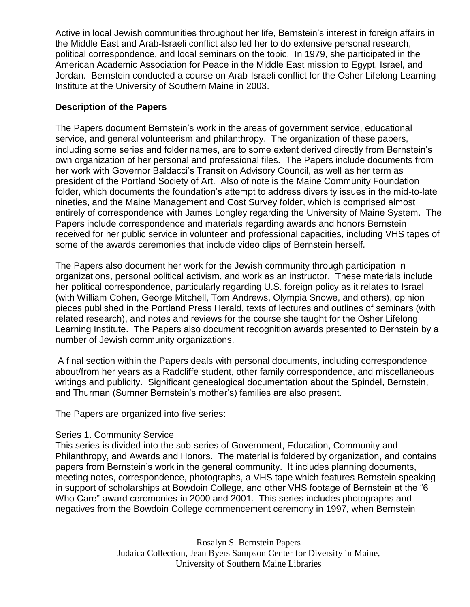Active in local Jewish communities throughout her life, Bernstein's interest in foreign affairs in the Middle East and Arab-Israeli conflict also led her to do extensive personal research, political correspondence, and local seminars on the topic. In 1979, she participated in the American Academic Association for Peace in the Middle East mission to Egypt, Israel, and Jordan. Bernstein conducted a course on Arab-Israeli conflict for the Osher Lifelong Learning Institute at the University of Southern Maine in 2003.

## **Description of the Papers**

The Papers document Bernstein's work in the areas of government service, educational service, and general volunteerism and philanthropy. The organization of these papers, including some series and folder names, are to some extent derived directly from Bernstein's own organization of her personal and professional files. The Papers include documents from her work with Governor Baldacci's Transition Advisory Council, as well as her term as president of the Portland Society of Art. Also of note is the Maine Community Foundation folder, which documents the foundation's attempt to address diversity issues in the mid-to-late nineties, and the Maine Management and Cost Survey folder, which is comprised almost entirely of correspondence with James Longley regarding the University of Maine System. The Papers include correspondence and materials regarding awards and honors Bernstein received for her public service in volunteer and professional capacities, including VHS tapes of some of the awards ceremonies that include video clips of Bernstein herself.

The Papers also document her work for the Jewish community through participation in organizations, personal political activism, and work as an instructor. These materials include her political correspondence, particularly regarding U.S. foreign policy as it relates to Israel (with William Cohen, George Mitchell, Tom Andrews, Olympia Snowe, and others), opinion pieces published in the Portland Press Herald, texts of lectures and outlines of seminars (with related research), and notes and reviews for the course she taught for the Osher Lifelong Learning Institute. The Papers also document recognition awards presented to Bernstein by a number of Jewish community organizations.

A final section within the Papers deals with personal documents, including correspondence about/from her years as a Radcliffe student, other family correspondence, and miscellaneous writings and publicity. Significant genealogical documentation about the Spindel, Bernstein, and Thurman (Sumner Bernstein's mother's) families are also present.

The Papers are organized into five series:

### Series 1. Community Service

This series is divided into the sub-series of Government, Education, Community and Philanthropy, and Awards and Honors. The material is foldered by organization, and contains papers from Bernstein's work in the general community. It includes planning documents, meeting notes, correspondence, photographs, a VHS tape which features Bernstein speaking in support of scholarships at Bowdoin College, and other VHS footage of Bernstein at the "6 Who Care" award ceremonies in 2000 and 2001. This series includes photographs and negatives from the Bowdoin College commencement ceremony in 1997, when Bernstein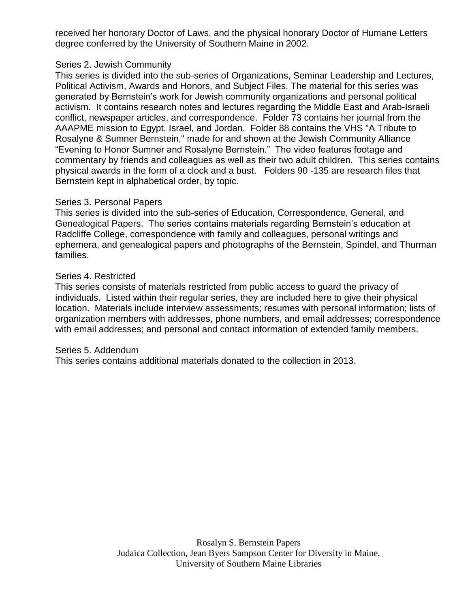received her honorary Doctor of Laws, and the physical honorary Doctor of Humane Letters degree conferred by the University of Southern Maine in 2002.

#### Series 2. Jewish Community

This series is divided into the sub-series of Organizations, Seminar Leadership and Lectures, Political Activism, Awards and Honors, and Subject Files. The material for this series was generated by Bernstein's work for Jewish community organizations and personal political activism. It contains research notes and lectures regarding the Middle East and Arab-Israeli conflict, newspaper articles, and correspondence. Folder 73 contains her journal from the AAAPME mission to Egypt, Israel, and Jordan. Folder 88 contains the VHS "A Tribute to Rosalyne & Sumner Bernstein," made for and shown at the Jewish Community Alliance "Evening to Honor Sumner and Rosalyne Bernstein." The video features footage and commentary by friends and colleagues as well as their two adult children. This series contains physical awards in the form of a clock and a bust. Folders 90 -135 are research files that Bernstein kept in alphabetical order, by topic.

#### Series 3. Personal Papers

This series is divided into the sub-series of Education, Correspondence, General, and Genealogical Papers. The series contains materials regarding Bernstein's education at Radcliffe College, correspondence with family and colleagues, personal writings and ephemera, and genealogical papers and photographs of the Bernstein, Spindel, and Thurman families.

#### Series 4. Restricted

This series consists of materials restricted from public access to guard the privacy of individuals. Listed within their regular series, they are included here to give their physical location. Materials include interview assessments; resumes with personal information; lists of organization members with addresses, phone numbers, and email addresses; correspondence with email addresses; and personal and contact information of extended family members.

#### Series 5. Addendum

This series contains additional materials donated to the collection in 2013.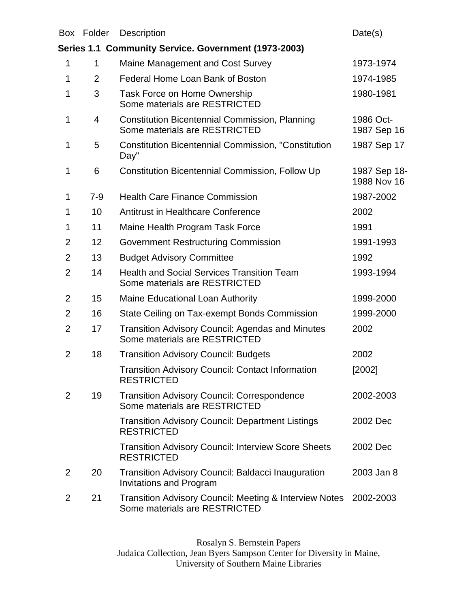|                | Box Folder     | <b>Description</b>                                                                                 | Date(s)                     |
|----------------|----------------|----------------------------------------------------------------------------------------------------|-----------------------------|
|                |                | Series 1.1 Community Service. Government (1973-2003)                                               |                             |
| 1              | 1              | Maine Management and Cost Survey                                                                   | 1973-1974                   |
| 1              | $\overline{2}$ | Federal Home Loan Bank of Boston                                                                   | 1974-1985                   |
| 1              | 3              | Task Force on Home Ownership<br>Some materials are RESTRICTED                                      | 1980-1981                   |
| 1              | 4              | <b>Constitution Bicentennial Commission, Planning</b><br>Some materials are RESTRICTED             | 1986 Oct-<br>1987 Sep 16    |
| 1              | 5              | <b>Constitution Bicentennial Commission, "Constitution</b><br>Day"                                 | 1987 Sep 17                 |
| 1              | 6              | Constitution Bicentennial Commission, Follow Up                                                    | 1987 Sep 18-<br>1988 Nov 16 |
| 1              | $7-9$          | <b>Health Care Finance Commission</b>                                                              | 1987-2002                   |
| 1              | 10             | <b>Antitrust in Healthcare Conference</b>                                                          | 2002                        |
| 1              | 11             | Maine Health Program Task Force                                                                    | 1991                        |
| 2              | 12             | Government Restructuring Commission                                                                | 1991-1993                   |
| $\overline{2}$ | 13             | <b>Budget Advisory Committee</b>                                                                   | 1992                        |
| $\overline{2}$ | 14             | <b>Health and Social Services Transition Team</b><br>Some materials are RESTRICTED                 | 1993-1994                   |
| $\overline{2}$ | 15             | Maine Educational Loan Authority                                                                   | 1999-2000                   |
| 2              | 16             | State Ceiling on Tax-exempt Bonds Commission                                                       | 1999-2000                   |
| 2              | 17             | <b>Transition Advisory Council: Agendas and Minutes</b><br>Some materials are RESTRICTED           | 2002                        |
| $\overline{2}$ | 18             | <b>Transition Advisory Council: Budgets</b>                                                        | 2002                        |
|                |                | Transition Advisory Council: Contact Information<br><b>RESTRICTED</b>                              | [2002]                      |
| 2              | 19             | <b>Transition Advisory Council: Correspondence</b><br>Some materials are RESTRICTED                | 2002-2003                   |
|                |                | <b>Transition Advisory Council: Department Listings</b><br><b>RESTRICTED</b>                       | 2002 Dec                    |
|                |                | <b>Transition Advisory Council: Interview Score Sheets</b><br><b>RESTRICTED</b>                    | 2002 Dec                    |
| 2              | 20             | <b>Transition Advisory Council: Baldacci Inauguration</b><br><b>Invitations and Program</b>        | 2003 Jan 8                  |
| 2              | 21             | <b>Transition Advisory Council: Meeting &amp; Interview Notes</b><br>Some materials are RESTRICTED | 2002-2003                   |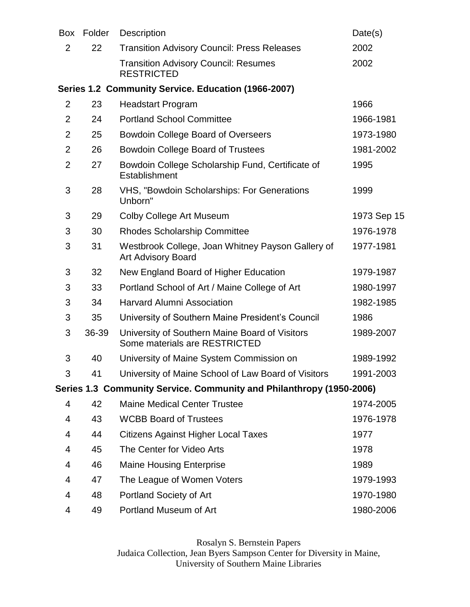| <b>Box</b>     | Folder | Description                                                                     | Date(s)     |
|----------------|--------|---------------------------------------------------------------------------------|-------------|
| $\overline{2}$ | 22     | <b>Transition Advisory Council: Press Releases</b>                              | 2002        |
|                |        | <b>Transition Advisory Council: Resumes</b><br><b>RESTRICTED</b>                | 2002        |
|                |        | Series 1.2 Community Service. Education (1966-2007)                             |             |
| $\overline{2}$ | 23     | <b>Headstart Program</b>                                                        | 1966        |
| $\overline{2}$ | 24     | <b>Portland School Committee</b>                                                | 1966-1981   |
| $\overline{2}$ | 25     | <b>Bowdoin College Board of Overseers</b>                                       | 1973-1980   |
| $\overline{2}$ | 26     | <b>Bowdoin College Board of Trustees</b>                                        | 1981-2002   |
| $\overline{2}$ | 27     | Bowdoin College Scholarship Fund, Certificate of<br>Establishment               | 1995        |
| 3              | 28     | VHS, "Bowdoin Scholarships: For Generations<br>Unborn"                          | 1999        |
| 3              | 29     | Colby College Art Museum                                                        | 1973 Sep 15 |
| 3              | 30     | <b>Rhodes Scholarship Committee</b>                                             | 1976-1978   |
| 3              | 31     | Westbrook College, Joan Whitney Payson Gallery of<br><b>Art Advisory Board</b>  | 1977-1981   |
| 3              | 32     | New England Board of Higher Education                                           | 1979-1987   |
| 3              | 33     | Portland School of Art / Maine College of Art                                   | 1980-1997   |
| 3              | 34     | <b>Harvard Alumni Association</b>                                               | 1982-1985   |
| 3              | 35     | University of Southern Maine President's Council                                | 1986        |
| 3              | 36-39  | University of Southern Maine Board of Visitors<br>Some materials are RESTRICTED | 1989-2007   |
| 3              | 40     | University of Maine System Commission on                                        | 1989-1992   |
| 3              | 41     | University of Maine School of Law Board of Visitors                             | 1991-2003   |
|                |        | Series 1.3 Community Service. Community and Philanthropy (1950-2006)            |             |
| 4              | 42     | <b>Maine Medical Center Trustee</b>                                             | 1974-2005   |
| 4              | 43     | <b>WCBB Board of Trustees</b>                                                   | 1976-1978   |
| 4              | 44     | <b>Citizens Against Higher Local Taxes</b>                                      | 1977        |
| 4              | 45     | The Center for Video Arts                                                       | 1978        |
| 4              | 46     | <b>Maine Housing Enterprise</b>                                                 | 1989        |
| 4              | 47     | The League of Women Voters                                                      | 1979-1993   |
| 4              | 48     | Portland Society of Art                                                         | 1970-1980   |
| 4              | 49     | Portland Museum of Art                                                          | 1980-2006   |
|                |        |                                                                                 |             |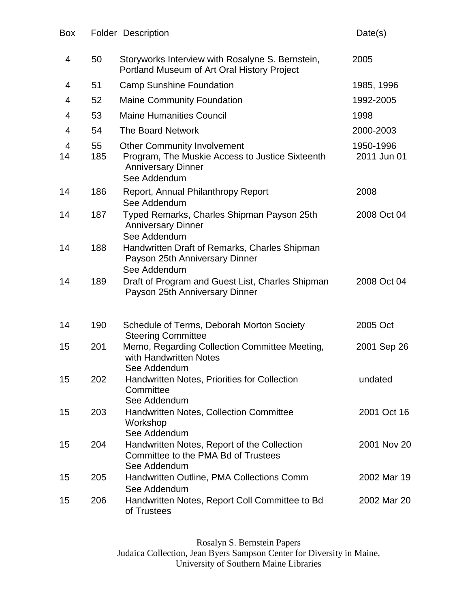| Box     |           | <b>Folder Description</b>                                                                                                          | Date(s)                  |
|---------|-----------|------------------------------------------------------------------------------------------------------------------------------------|--------------------------|
| 4       | 50        | Storyworks Interview with Rosalyne S. Bernstein,<br>Portland Museum of Art Oral History Project                                    | 2005                     |
| 4       | 51        | <b>Camp Sunshine Foundation</b>                                                                                                    | 1985, 1996               |
| 4       | 52        | <b>Maine Community Foundation</b>                                                                                                  | 1992-2005                |
| 4       | 53        | <b>Maine Humanities Council</b>                                                                                                    | 1998                     |
| 4       | 54        | <b>The Board Network</b>                                                                                                           | 2000-2003                |
| 4<br>14 | 55<br>185 | <b>Other Community Involvement</b><br>Program, The Muskie Access to Justice Sixteenth<br><b>Anniversary Dinner</b><br>See Addendum | 1950-1996<br>2011 Jun 01 |
| 14      | 186       | Report, Annual Philanthropy Report<br>See Addendum                                                                                 | 2008                     |
| 14      | 187       | Typed Remarks, Charles Shipman Payson 25th<br><b>Anniversary Dinner</b><br>See Addendum                                            | 2008 Oct 04              |
| 14      | 188       | Handwritten Draft of Remarks, Charles Shipman<br>Payson 25th Anniversary Dinner<br>See Addendum                                    |                          |
| 14      | 189       | Draft of Program and Guest List, Charles Shipman<br>Payson 25th Anniversary Dinner                                                 | 2008 Oct 04              |
| 14      | 190       | Schedule of Terms, Deborah Morton Society<br><b>Steering Committee</b>                                                             | 2005 Oct                 |
| 15      | 201       | Memo, Regarding Collection Committee Meeting,<br>with Handwritten Notes<br>See Addendum                                            | 2001 Sep 26              |
| 15      | 202       | <b>Handwritten Notes, Priorities for Collection</b><br>Committee<br>See Addendum                                                   | undated                  |
| 15      | 203       | Handwritten Notes, Collection Committee<br>Workshop<br>See Addendum                                                                | 2001 Oct 16              |
| 15      | 204       | Handwritten Notes, Report of the Collection<br>Committee to the PMA Bd of Trustees<br>See Addendum                                 | 2001 Nov 20              |
| 15      | 205       | Handwritten Outline, PMA Collections Comm<br>See Addendum                                                                          | 2002 Mar 19              |
| 15      | 206       | Handwritten Notes, Report Coll Committee to Bd<br>of Trustees                                                                      | 2002 Mar 20              |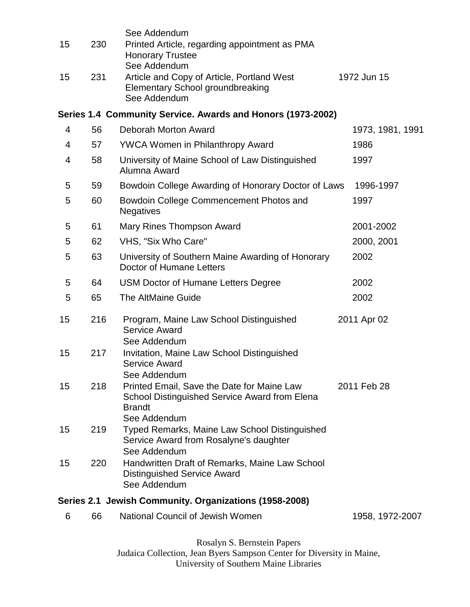| 15 | 230 | See Addendum<br>Printed Article, regarding appointment as PMA<br><b>Honorary Trustee</b><br>See Addendum                     |                  |
|----|-----|------------------------------------------------------------------------------------------------------------------------------|------------------|
| 15 | 231 | Article and Copy of Article, Portland West<br><b>Elementary School groundbreaking</b><br>See Addendum                        | 1972 Jun 15      |
|    |     | Series 1.4 Community Service. Awards and Honors (1973-2002)                                                                  |                  |
| 4  | 56  | Deborah Morton Award                                                                                                         | 1973, 1981, 1991 |
| 4  | 57  | <b>YWCA Women in Philanthropy Award</b>                                                                                      | 1986             |
| 4  | 58  | University of Maine School of Law Distinguished<br>Alumna Award                                                              | 1997             |
| 5  | 59  | Bowdoin College Awarding of Honorary Doctor of Laws                                                                          | 1996-1997        |
| 5  | 60  | Bowdoin College Commencement Photos and<br><b>Negatives</b>                                                                  | 1997             |
| 5  | 61  | Mary Rines Thompson Award                                                                                                    | 2001-2002        |
| 5  | 62  | VHS, "Six Who Care"                                                                                                          | 2000, 2001       |
| 5  | 63  | University of Southern Maine Awarding of Honorary<br>Doctor of Humane Letters                                                | 2002             |
| 5  | 64  | <b>USM Doctor of Humane Letters Degree</b>                                                                                   | 2002             |
| 5  | 65  | <b>The AltMaine Guide</b>                                                                                                    | 2002             |
| 15 | 216 | Program, Maine Law School Distinguished<br><b>Service Award</b>                                                              | 2011 Apr 02      |
| 15 | 217 | See Addendum<br>Invitation, Maine Law School Distinguished<br><b>Service Award</b><br>See Addendum                           |                  |
| 15 | 218 | Printed Email, Save the Date for Maine Law<br>School Distinguished Service Award from Elena<br><b>Brandt</b><br>See Addendum | 2011 Feb 28      |
| 15 | 219 | <b>Typed Remarks, Maine Law School Distinguished</b><br>Service Award from Rosalyne's daughter<br>See Addendum               |                  |
| 15 | 220 | Handwritten Draft of Remarks, Maine Law School<br><b>Distinguished Service Award</b><br>See Addendum                         |                  |
|    |     | Series 2.1 Jewish Community. Organizations (1958-2008)                                                                       |                  |
| 6  | 66  | <b>National Council of Jewish Women</b>                                                                                      | 1958, 1972-2007  |
|    |     |                                                                                                                              |                  |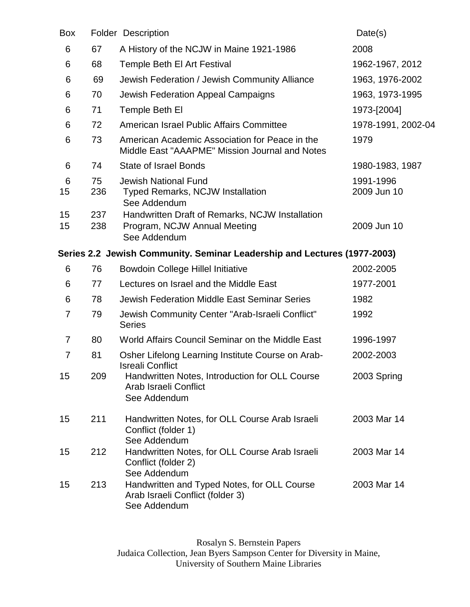| Box |     | <b>Folder Description</b>                                                                        | Date(s)            |
|-----|-----|--------------------------------------------------------------------------------------------------|--------------------|
| 6   | 67  | A History of the NCJW in Maine 1921-1986                                                         | 2008               |
| 6   | 68  | Temple Beth El Art Festival                                                                      | 1962-1967, 2012    |
| 6   | 69  | Jewish Federation / Jewish Community Alliance                                                    | 1963, 1976-2002    |
| 6   | 70  | Jewish Federation Appeal Campaigns                                                               | 1963, 1973-1995    |
| 6   | 71  | Temple Beth El                                                                                   | 1973-[2004]        |
| 6   | 72  | American Israel Public Affairs Committee                                                         | 1978-1991, 2002-04 |
| 6   | 73  | American Academic Association for Peace in the<br>Middle East "AAAPME" Mission Journal and Notes | 1979               |
| 6   | 74  | <b>State of Israel Bonds</b>                                                                     | 1980-1983, 1987    |
| 6   | 75  | <b>Jewish National Fund</b>                                                                      | 1991-1996          |
| 15  | 236 | Typed Remarks, NCJW Installation<br>See Addendum                                                 | 2009 Jun 10        |
| 15  | 237 | Handwritten Draft of Remarks, NCJW Installation                                                  |                    |
| 15  | 238 | Program, NCJW Annual Meeting<br>See Addendum                                                     | 2009 Jun 10        |
|     |     | Series 2.2 Jewish Community. Seminar Leadership and Lectures (1977-2003)                         |                    |
| 6   | 76  | <b>Bowdoin College Hillel Initiative</b>                                                         | 2002-2005          |
| 6   | 77  | Lectures on Israel and the Middle East                                                           | 1977-2001          |
| 6   | 78  | Jewish Federation Middle East Seminar Series                                                     | 1982               |
| 7   | 79  | Jewish Community Center "Arab-Israeli Conflict"<br><b>Series</b>                                 | 1992               |
| 7   | 80  | World Affairs Council Seminar on the Middle East                                                 | 1996-1997          |
| 7   | 81  | Osher Lifelong Learning Institute Course on Arab-<br><b>Isreali Conflict</b>                     | 2002-2003          |
| 15  | 209 | Handwritten Notes, Introduction for OLL Course<br>Arab Israeli Conflict<br>See Addendum          | 2003 Spring        |
| 15  | 211 | Handwritten Notes, for OLL Course Arab Israeli<br>Conflict (folder 1)<br>See Addendum            | 2003 Mar 14        |
| 15  | 212 | Handwritten Notes, for OLL Course Arab Israeli<br>Conflict (folder 2)<br>See Addendum            | 2003 Mar 14        |
| 15  | 213 | Handwritten and Typed Notes, for OLL Course<br>Arab Israeli Conflict (folder 3)<br>See Addendum  | 2003 Mar 14        |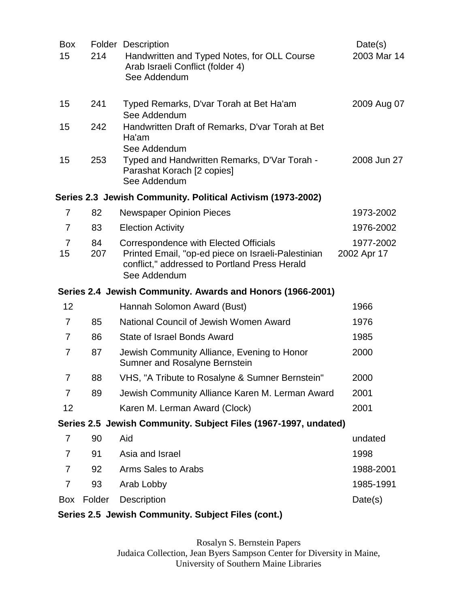| <b>Box</b><br>15     | 214       | <b>Folder Description</b><br>Handwritten and Typed Notes, for OLL Course<br>Arab Israeli Conflict (folder 4)<br>See Addendum                                 | Date(s)<br>2003 Mar 14   |
|----------------------|-----------|--------------------------------------------------------------------------------------------------------------------------------------------------------------|--------------------------|
| 15                   | 241       | Typed Remarks, D'var Torah at Bet Ha'am<br>See Addendum                                                                                                      | 2009 Aug 07              |
| 15                   | 242       | Handwritten Draft of Remarks, D'var Torah at Bet<br>Ha'am<br>See Addendum                                                                                    |                          |
| 15                   | 253       | Typed and Handwritten Remarks, D'Var Torah -<br>Parashat Korach [2 copies]<br>See Addendum                                                                   | 2008 Jun 27              |
|                      |           | Series 2.3 Jewish Community. Political Activism (1973-2002)                                                                                                  |                          |
| 7                    | 82        | <b>Newspaper Opinion Pieces</b>                                                                                                                              | 1973-2002                |
| 7                    | 83        | <b>Election Activity</b>                                                                                                                                     | 1976-2002                |
| $\overline{7}$<br>15 | 84<br>207 | Correspondence with Elected Officials<br>Printed Email, "op-ed piece on Israeli-Palestinian<br>conflict," addressed to Portland Press Herald<br>See Addendum | 1977-2002<br>2002 Apr 17 |
|                      |           | Series 2.4 Jewish Community. Awards and Honors (1966-2001)                                                                                                   |                          |
| 12                   |           | Hannah Solomon Award (Bust)                                                                                                                                  | 1966                     |
| $\overline{7}$       | 85        | National Council of Jewish Women Award                                                                                                                       | 1976                     |
| 7                    | 86        | <b>State of Israel Bonds Award</b>                                                                                                                           | 1985                     |
| $\overline{7}$       | 87        | Jewish Community Alliance, Evening to Honor<br><b>Sumner and Rosalyne Bernstein</b>                                                                          | 2000                     |
| 7                    | 88        | VHS, "A Tribute to Rosalyne & Sumner Bernstein"                                                                                                              | 2000                     |
| 7                    | 89        | Jewish Community Alliance Karen M. Lerman Award                                                                                                              | 2001                     |
| 12                   |           | Karen M. Lerman Award (Clock)                                                                                                                                | 2001                     |
|                      |           | Series 2.5 Jewish Community. Subject Files (1967-1997, undated)                                                                                              |                          |
| 7                    | 90        | Aid                                                                                                                                                          | undated                  |
| 7                    | 91        | Asia and Israel                                                                                                                                              | 1998                     |
| 7                    | 92        | Arms Sales to Arabs                                                                                                                                          | 1988-2001                |
| $\overline{7}$       | 93        | Arab Lobby                                                                                                                                                   | 1985-1991                |
| Box                  | Folder    | <b>Description</b>                                                                                                                                           | Date(s)                  |
|                      |           | Series 2.5 Lewish Community, Subject Files (cont.)                                                                                                           |                          |

### **Series 2.5 Jewish Community. Subject Files (cont.)**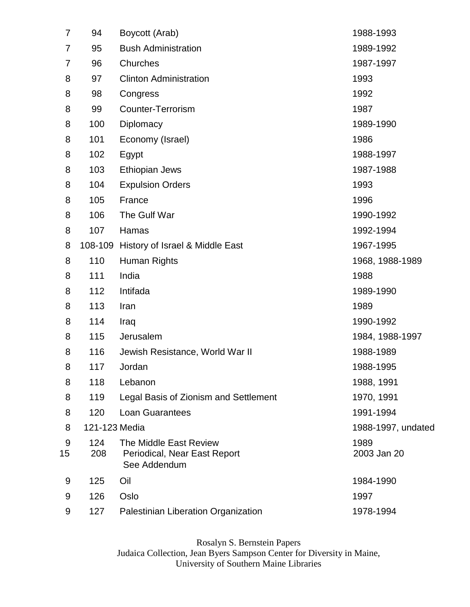| 7       | 94            | Boycott (Arab)                                                         | 1988-1993           |
|---------|---------------|------------------------------------------------------------------------|---------------------|
| 7       | 95            | <b>Bush Administration</b>                                             | 1989-1992           |
| 7       | 96            | Churches                                                               | 1987-1997           |
| 8       | 97            | <b>Clinton Administration</b>                                          | 1993                |
| 8       | 98            | Congress                                                               | 1992                |
| 8       | 99            | Counter-Terrorism                                                      | 1987                |
| 8       | 100           | Diplomacy                                                              | 1989-1990           |
| 8       | 101           | Economy (Israel)                                                       | 1986                |
| 8       | 102           | Egypt                                                                  | 1988-1997           |
| 8       | 103           | <b>Ethiopian Jews</b>                                                  | 1987-1988           |
| 8       | 104           | <b>Expulsion Orders</b>                                                | 1993                |
| 8       | 105           | France                                                                 | 1996                |
| 8       | 106           | The Gulf War                                                           | 1990-1992           |
| 8       | 107           | Hamas                                                                  | 1992-1994           |
| 8       | 108-109       | History of Israel & Middle East                                        | 1967-1995           |
| 8       | 110           | Human Rights                                                           | 1968, 1988-1989     |
| 8       | 111           | India                                                                  | 1988                |
| 8       | 112           | Intifada                                                               | 1989-1990           |
| 8       | 113           | Iran                                                                   | 1989                |
| 8       | 114           | Iraq                                                                   | 1990-1992           |
| 8       | 115           | Jerusalem                                                              | 1984, 1988-1997     |
| 8       | 116           | Jewish Resistance, World War II                                        | 1988-1989           |
| 8       | 117           | Jordan                                                                 | 1988-1995           |
| 8       | 118           | Lebanon                                                                | 1988, 1991          |
| 8       | 119           | Legal Basis of Zionism and Settlement                                  | 1970, 1991          |
| 8       | 120           | <b>Loan Guarantees</b>                                                 | 1991-1994           |
| 8       | 121-123 Media |                                                                        | 1988-1997, undated  |
| 9<br>15 | 124<br>208    | The Middle East Review<br>Periodical, Near East Report<br>See Addendum | 1989<br>2003 Jan 20 |
| 9       | 125           | Oil                                                                    | 1984-1990           |
| 9       | 126           | Oslo                                                                   | 1997                |
| 9       | 127           | Palestinian Liberation Organization                                    | 1978-1994           |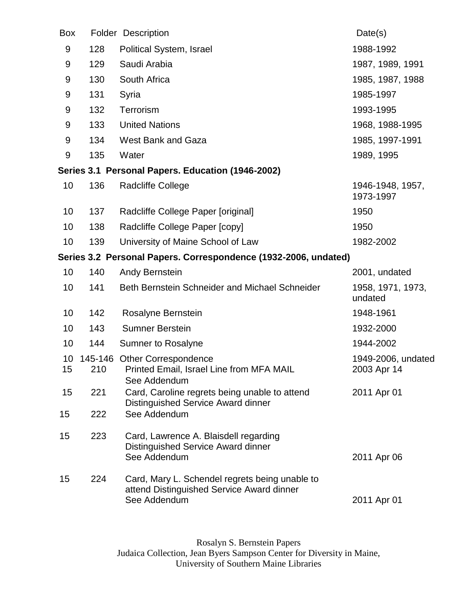| <b>Box</b> |     | <b>Folder Description</b>                                                                                   | Date(s)                           |
|------------|-----|-------------------------------------------------------------------------------------------------------------|-----------------------------------|
| 9          | 128 | Political System, Israel                                                                                    | 1988-1992                         |
| 9          | 129 | Saudi Arabia                                                                                                | 1987, 1989, 1991                  |
| 9          | 130 | South Africa                                                                                                | 1985, 1987, 1988                  |
| 9          | 131 | Syria                                                                                                       | 1985-1997                         |
| 9          | 132 | Terrorism                                                                                                   | 1993-1995                         |
| 9          | 133 | <b>United Nations</b>                                                                                       | 1968, 1988-1995                   |
| 9          | 134 | West Bank and Gaza                                                                                          | 1985, 1997-1991                   |
| 9          | 135 | Water                                                                                                       | 1989, 1995                        |
|            |     | Series 3.1 Personal Papers. Education (1946-2002)                                                           |                                   |
| 10         | 136 | Radcliffe College                                                                                           | 1946-1948, 1957,<br>1973-1997     |
| 10         | 137 | Radcliffe College Paper [original]                                                                          | 1950                              |
| 10         | 138 | Radcliffe College Paper [copy]                                                                              | 1950                              |
| 10         | 139 | University of Maine School of Law                                                                           | 1982-2002                         |
|            |     | Series 3.2 Personal Papers. Correspondence (1932-2006, undated)                                             |                                   |
| 10         | 140 | <b>Andy Bernstein</b>                                                                                       | 2001, undated                     |
| 10         | 141 | Beth Bernstein Schneider and Michael Schneider                                                              | 1958, 1971, 1973,<br>undated      |
| 10         | 142 | Rosalyne Bernstein                                                                                          | 1948-1961                         |
| 10         | 143 | <b>Sumner Berstein</b>                                                                                      | 1932-2000                         |
| 10         | 144 | <b>Sumner to Rosalyne</b>                                                                                   | 1944-2002                         |
| 10<br>15   | 210 | 145-146 Other Correspondence<br>Printed Email, Israel Line from MFA MAIL<br>See Addendum                    | 1949-2006, undated<br>2003 Apr 14 |
| 15         | 221 | Card, Caroline regrets being unable to attend<br>Distinguished Service Award dinner                         | 2011 Apr 01                       |
| 15         | 222 | See Addendum                                                                                                |                                   |
| 15         | 223 | Card, Lawrence A. Blaisdell regarding<br>Distinguished Service Award dinner<br>See Addendum                 | 2011 Apr 06                       |
| 15         | 224 | Card, Mary L. Schendel regrets being unable to<br>attend Distinguished Service Award dinner<br>See Addendum | 2011 Apr 01                       |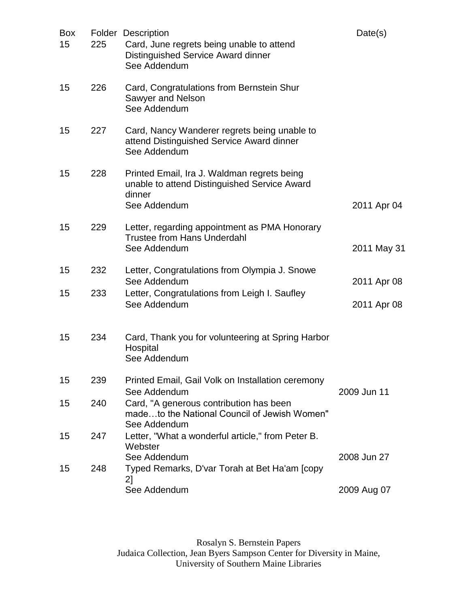| <b>Box</b><br>15 | 225        | <b>Folder Description</b><br>Card, June regrets being unable to attend<br>Distinguished Service Award dinner<br>See Addendum   | Date(s)                    |
|------------------|------------|--------------------------------------------------------------------------------------------------------------------------------|----------------------------|
| 15               | 226        | Card, Congratulations from Bernstein Shur<br>Sawyer and Nelson<br>See Addendum                                                 |                            |
| 15               | 227        | Card, Nancy Wanderer regrets being unable to<br>attend Distinguished Service Award dinner<br>See Addendum                      |                            |
| 15               | 228        | Printed Email, Ira J. Waldman regrets being<br>unable to attend Distinguished Service Award<br>dinner<br>See Addendum          | 2011 Apr 04                |
| 15               | 229        | Letter, regarding appointment as PMA Honorary<br><b>Trustee from Hans Underdahl</b><br>See Addendum                            | 2011 May 31                |
| 15<br>15         | 232<br>233 | Letter, Congratulations from Olympia J. Snowe<br>See Addendum<br>Letter, Congratulations from Leigh I. Saufley<br>See Addendum | 2011 Apr 08<br>2011 Apr 08 |
| 15               | 234        | Card, Thank you for volunteering at Spring Harbor<br>Hospital<br>See Addendum                                                  |                            |
| 15               | 239        | Printed Email, Gail Volk on Installation ceremony<br>See Addendum                                                              | 2009 Jun 11                |
| 15               | 240        | Card, "A generous contribution has been<br>madeto the National Council of Jewish Women"<br>See Addendum                        |                            |
| 15               | 247        | Letter, "What a wonderful article," from Peter B.<br>Webster<br>See Addendum                                                   | 2008 Jun 27                |
| 15               | 248        | Typed Remarks, D'var Torah at Bet Ha'am [copy<br>2]                                                                            |                            |
|                  |            | See Addendum                                                                                                                   | 2009 Aug 07                |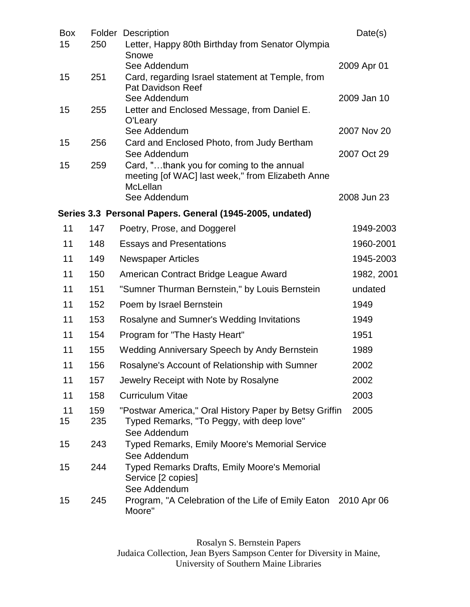| Box<br>15 | 250        | <b>Folder Description</b><br>Letter, Happy 80th Birthday from Senator Olympia                             | Date(s)     |
|-----------|------------|-----------------------------------------------------------------------------------------------------------|-------------|
|           |            | Snowe<br>See Addendum                                                                                     | 2009 Apr 01 |
| 15        | 251        | Card, regarding Israel statement at Temple, from<br><b>Pat Davidson Reef</b><br>See Addendum              | 2009 Jan 10 |
| 15        | 255        | Letter and Enclosed Message, from Daniel E.<br>O'Leary                                                    |             |
|           |            | See Addendum                                                                                              | 2007 Nov 20 |
| 15        | 256        | Card and Enclosed Photo, from Judy Bertham<br>See Addendum                                                | 2007 Oct 29 |
| 15        | 259        | Card, "thank you for coming to the annual<br>meeting [of WAC] last week," from Elizabeth Anne<br>McLellan |             |
|           |            | See Addendum                                                                                              | 2008 Jun 23 |
|           |            | Series 3.3 Personal Papers. General (1945-2005, undated)                                                  |             |
| 11        | 147        | Poetry, Prose, and Doggerel                                                                               | 1949-2003   |
| 11        | 148        | <b>Essays and Presentations</b>                                                                           | 1960-2001   |
| 11        | 149        | <b>Newspaper Articles</b>                                                                                 | 1945-2003   |
| 11        | 150        | American Contract Bridge League Award                                                                     | 1982, 2001  |
| 11        | 151        | "Sumner Thurman Bernstein," by Louis Bernstein                                                            | undated     |
| 11        | 152        | Poem by Israel Bernstein                                                                                  | 1949        |
| 11        | 153        | Rosalyne and Sumner's Wedding Invitations                                                                 | 1949        |
| 11        | 154        | Program for "The Hasty Heart"                                                                             | 1951        |
| 11        | 155        | <b>Wedding Anniversary Speech by Andy Bernstein</b>                                                       | 1989        |
| 11        | 156        | Rosalyne's Account of Relationship with Sumner                                                            | 2002        |
| 11        | 157        | Jewelry Receipt with Note by Rosalyne                                                                     | 2002        |
| 11        | 158        | <b>Curriculum Vitae</b>                                                                                   | 2003        |
| 11<br>15  | 159<br>235 | "Postwar America," Oral History Paper by Betsy Griffin<br>Typed Remarks, "To Peggy, with deep love"       | 2005        |
| 15        | 243        | See Addendum<br>Typed Remarks, Emily Moore's Memorial Service<br>See Addendum                             |             |
| 15        | 244        | Typed Remarks Drafts, Emily Moore's Memorial<br>Service [2 copies]<br>See Addendum                        |             |
| 15        | 245        | Program, "A Celebration of the Life of Emily Eaton 2010 Apr 06<br>Moore"                                  |             |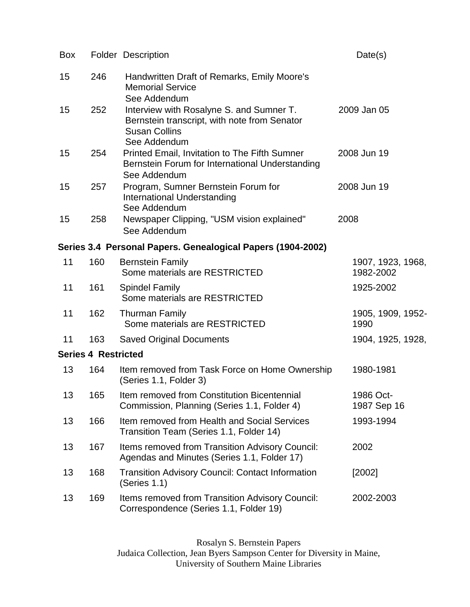| <b>Box</b> |                            | <b>Folder Description</b>                                                                                                        | Date(s)                        |
|------------|----------------------------|----------------------------------------------------------------------------------------------------------------------------------|--------------------------------|
| 15         | 246                        | Handwritten Draft of Remarks, Emily Moore's<br><b>Memorial Service</b><br>See Addendum                                           |                                |
| 15         | 252                        | Interview with Rosalyne S. and Sumner T.<br>Bernstein transcript, with note from Senator<br><b>Susan Collins</b><br>See Addendum | 2009 Jan 05                    |
| 15         | 254                        | Printed Email, Invitation to The Fifth Sumner<br>Bernstein Forum for International Understanding<br>See Addendum                 | 2008 Jun 19                    |
| 15         | 257                        | Program, Sumner Bernstein Forum for<br>International Understanding<br>See Addendum                                               | 2008 Jun 19                    |
| 15         | 258                        | Newspaper Clipping, "USM vision explained"<br>See Addendum                                                                       | 2008                           |
|            |                            | Series 3.4 Personal Papers. Genealogical Papers (1904-2002)                                                                      |                                |
| 11         | 160                        | <b>Bernstein Family</b><br>Some materials are RESTRICTED                                                                         | 1907, 1923, 1968,<br>1982-2002 |
| 11         | 161                        | <b>Spindel Family</b><br>Some materials are RESTRICTED                                                                           | 1925-2002                      |
| 11         | 162                        | <b>Thurman Family</b><br>Some materials are RESTRICTED                                                                           | 1905, 1909, 1952-<br>1990      |
| 11         | 163                        | <b>Saved Original Documents</b>                                                                                                  | 1904, 1925, 1928,              |
|            | <b>Series 4 Restricted</b> |                                                                                                                                  |                                |
| 13         | 164                        | Item removed from Task Force on Home Ownership<br>(Series 1.1, Folder 3)                                                         | 1980-1981                      |
| 13         | 165                        | Item removed from Constitution Bicentennial<br>Commission, Planning (Series 1.1, Folder 4)                                       | 1986 Oct-<br>1987 Sep 16       |
| 13         | 166                        | Item removed from Health and Social Services<br>Transition Team (Series 1.1, Folder 14)                                          | 1993-1994                      |
| 13         | 167                        | Items removed from Transition Advisory Council:<br>Agendas and Minutes (Series 1.1, Folder 17)                                   | 2002                           |
| 13         | 168                        | <b>Transition Advisory Council: Contact Information</b><br>(Series 1.1)                                                          | [2002]                         |
| 13         | 169                        | Items removed from Transition Advisory Council:<br>Correspondence (Series 1.1, Folder 19)                                        | 2002-2003                      |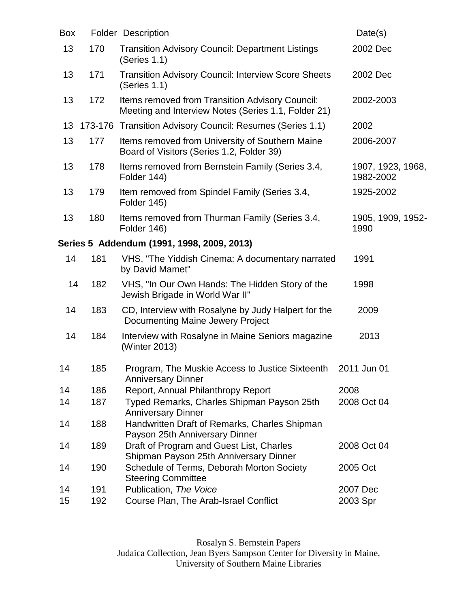| <b>Box</b> |         | <b>Folder Description</b>                                                                              | Date(s)                        |
|------------|---------|--------------------------------------------------------------------------------------------------------|--------------------------------|
| 13         | 170     | <b>Transition Advisory Council: Department Listings</b><br>(Series 1.1)                                | 2002 Dec                       |
| 13         | 171     | <b>Transition Advisory Council: Interview Score Sheets</b><br>(Series 1.1)                             | 2002 Dec                       |
| 13         | 172     | Items removed from Transition Advisory Council:<br>Meeting and Interview Notes (Series 1.1, Folder 21) | 2002-2003                      |
| 13         | 173-176 | Transition Advisory Council: Resumes (Series 1.1)                                                      | 2002                           |
| 13         | 177     | Items removed from University of Southern Maine<br>Board of Visitors (Series 1.2, Folder 39)           | 2006-2007                      |
| 13         | 178     | Items removed from Bernstein Family (Series 3.4,<br>Folder 144)                                        | 1907, 1923, 1968,<br>1982-2002 |
| 13         | 179     | Item removed from Spindel Family (Series 3.4,<br>Folder 145)                                           | 1925-2002                      |
| 13         | 180     | Items removed from Thurman Family (Series 3.4,<br>Folder 146)                                          | 1905, 1909, 1952-<br>1990      |
|            |         | Series 5 Addendum (1991, 1998, 2009, 2013)                                                             |                                |
| 14         | 181     | VHS, "The Yiddish Cinema: A documentary narrated<br>by David Mamet"                                    | 1991                           |
| 14         | 182     | VHS, "In Our Own Hands: The Hidden Story of the<br>Jewish Brigade in World War II"                     | 1998                           |
| 14         | 183     | CD, Interview with Rosalyne by Judy Halpert for the<br><b>Documenting Maine Jewery Project</b>         | 2009                           |
| 14         | 184     | Interview with Rosalyne in Maine Seniors magazine<br>(Winter 2013)                                     | 2013                           |
| 14         | 185     | Program, The Muskie Access to Justice Sixteenth<br><b>Anniversary Dinner</b>                           | 2011 Jun 01                    |
| 14         | 186     | Report, Annual Philanthropy Report                                                                     | 2008                           |
| 14         | 187     | Typed Remarks, Charles Shipman Payson 25th<br><b>Anniversary Dinner</b>                                | 2008 Oct 04                    |
| 14         | 188     | Handwritten Draft of Remarks, Charles Shipman<br>Payson 25th Anniversary Dinner                        |                                |
| 14         | 189     | Draft of Program and Guest List, Charles<br>Shipman Payson 25th Anniversary Dinner                     | 2008 Oct 04                    |
| 14         | 190     | Schedule of Terms, Deborah Morton Society<br><b>Steering Committee</b>                                 | 2005 Oct                       |
| 14         | 191     | Publication, The Voice                                                                                 | 2007 Dec                       |
| 15         | 192     | Course Plan, The Arab-Israel Conflict                                                                  | 2003 Spr                       |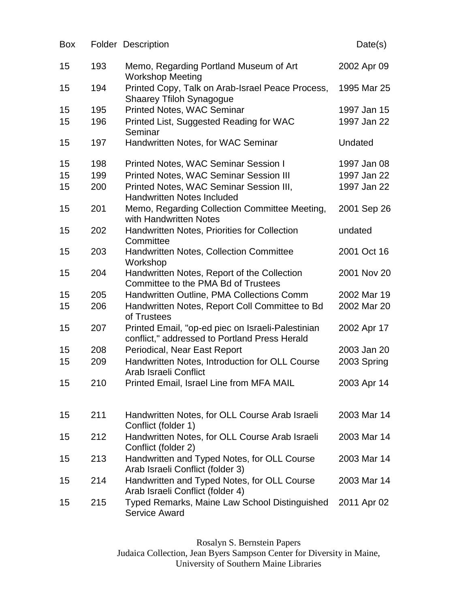| Box |     | <b>Folder Description</b>                                                                          | Date(s)     |
|-----|-----|----------------------------------------------------------------------------------------------------|-------------|
| 15  | 193 | Memo, Regarding Portland Museum of Art<br><b>Workshop Meeting</b>                                  | 2002 Apr 09 |
| 15  | 194 | Printed Copy, Talk on Arab-Israel Peace Process,<br><b>Shaarey Tfiloh Synagogue</b>                | 1995 Mar 25 |
| 15  | 195 | <b>Printed Notes, WAC Seminar</b>                                                                  | 1997 Jan 15 |
| 15  | 196 | Printed List, Suggested Reading for WAC<br>Seminar                                                 | 1997 Jan 22 |
| 15  | 197 | Handwritten Notes, for WAC Seminar                                                                 | Undated     |
| 15  | 198 | <b>Printed Notes, WAC Seminar Session I</b>                                                        | 1997 Jan 08 |
| 15  | 199 | <b>Printed Notes, WAC Seminar Session III</b>                                                      | 1997 Jan 22 |
| 15  | 200 | Printed Notes, WAC Seminar Session III,<br><b>Handwritten Notes Included</b>                       | 1997 Jan 22 |
| 15  | 201 | Memo, Regarding Collection Committee Meeting,<br>with Handwritten Notes                            | 2001 Sep 26 |
| 15  | 202 | <b>Handwritten Notes, Priorities for Collection</b><br>Committee                                   | undated     |
| 15  | 203 | <b>Handwritten Notes, Collection Committee</b><br>Workshop                                         | 2001 Oct 16 |
| 15  | 204 | Handwritten Notes, Report of the Collection<br>Committee to the PMA Bd of Trustees                 | 2001 Nov 20 |
| 15  | 205 | Handwritten Outline, PMA Collections Comm                                                          | 2002 Mar 19 |
| 15  | 206 | Handwritten Notes, Report Coll Committee to Bd<br>of Trustees                                      | 2002 Mar 20 |
| 15  | 207 | Printed Email, "op-ed piec on Israeli-Palestinian<br>conflict," addressed to Portland Press Herald | 2002 Apr 17 |
| 15  | 208 | Periodical, Near East Report                                                                       | 2003 Jan 20 |
| 15  | 209 | Handwritten Notes, Introduction for OLL Course<br>Arab Israeli Conflict                            | 2003 Spring |
| 15  | 210 | Printed Email, Israel Line from MFA MAIL                                                           | 2003 Apr 14 |
| 15  | 211 | Handwritten Notes, for OLL Course Arab Israeli<br>Conflict (folder 1)                              | 2003 Mar 14 |
| 15  | 212 | Handwritten Notes, for OLL Course Arab Israeli<br>Conflict (folder 2)                              | 2003 Mar 14 |
| 15  | 213 | Handwritten and Typed Notes, for OLL Course<br>Arab Israeli Conflict (folder 3)                    | 2003 Mar 14 |
| 15  | 214 | Handwritten and Typed Notes, for OLL Course<br>Arab Israeli Conflict (folder 4)                    | 2003 Mar 14 |
| 15  | 215 | Typed Remarks, Maine Law School Distinguished<br><b>Service Award</b>                              | 2011 Apr 02 |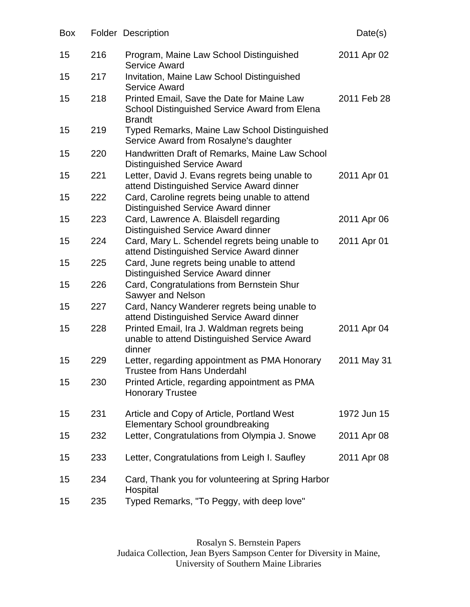| Box |     | <b>Folder Description</b>                                                                                    | Date(s)     |
|-----|-----|--------------------------------------------------------------------------------------------------------------|-------------|
| 15  | 216 | Program, Maine Law School Distinguished<br><b>Service Award</b>                                              | 2011 Apr 02 |
| 15  | 217 | Invitation, Maine Law School Distinguished<br><b>Service Award</b>                                           |             |
| 15  | 218 | Printed Email, Save the Date for Maine Law<br>School Distinguished Service Award from Elena<br><b>Brandt</b> | 2011 Feb 28 |
| 15  | 219 | <b>Typed Remarks, Maine Law School Distinguished</b><br>Service Award from Rosalyne's daughter               |             |
| 15  | 220 | Handwritten Draft of Remarks, Maine Law School<br><b>Distinguished Service Award</b>                         |             |
| 15  | 221 | Letter, David J. Evans regrets being unable to<br>attend Distinguished Service Award dinner                  | 2011 Apr 01 |
| 15  | 222 | Card, Caroline regrets being unable to attend<br>Distinguished Service Award dinner                          |             |
| 15  | 223 | Card, Lawrence A. Blaisdell regarding<br>Distinguished Service Award dinner                                  | 2011 Apr 06 |
| 15  | 224 | Card, Mary L. Schendel regrets being unable to<br>attend Distinguished Service Award dinner                  | 2011 Apr 01 |
| 15  | 225 | Card, June regrets being unable to attend<br>Distinguished Service Award dinner                              |             |
| 15  | 226 | Card, Congratulations from Bernstein Shur<br>Sawyer and Nelson                                               |             |
| 15  | 227 | Card, Nancy Wanderer regrets being unable to<br>attend Distinguished Service Award dinner                    |             |
| 15  | 228 | Printed Email, Ira J. Waldman regrets being<br>unable to attend Distinguished Service Award<br>dinner        | 2011 Apr 04 |
| 15  | 229 | Letter, regarding appointment as PMA Honorary<br><b>Trustee from Hans Underdahl</b>                          | 2011 May 31 |
| 15  | 230 | Printed Article, regarding appointment as PMA<br><b>Honorary Trustee</b>                                     |             |
| 15  | 231 | Article and Copy of Article, Portland West<br><b>Elementary School groundbreaking</b>                        | 1972 Jun 15 |
| 15  | 232 | Letter, Congratulations from Olympia J. Snowe                                                                | 2011 Apr 08 |
| 15  | 233 | Letter, Congratulations from Leigh I. Saufley                                                                | 2011 Apr 08 |
| 15  | 234 | Card, Thank you for volunteering at Spring Harbor<br>Hospital                                                |             |
| 15  | 235 | Typed Remarks, "To Peggy, with deep love"                                                                    |             |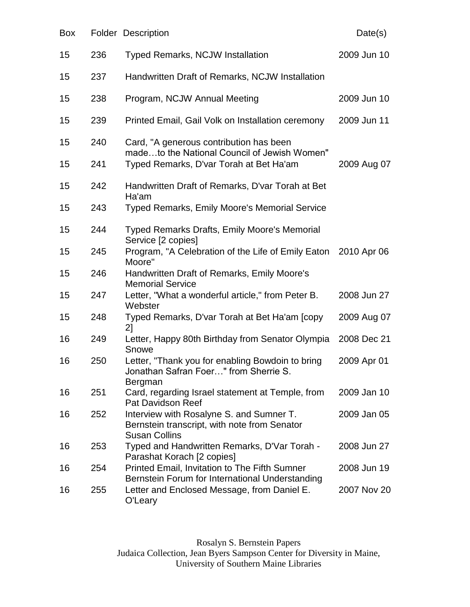| Box |     | <b>Folder Description</b>                                                                                        | Date(s)     |
|-----|-----|------------------------------------------------------------------------------------------------------------------|-------------|
| 15  | 236 | <b>Typed Remarks, NCJW Installation</b>                                                                          | 2009 Jun 10 |
| 15  | 237 | Handwritten Draft of Remarks, NCJW Installation                                                                  |             |
| 15  | 238 | Program, NCJW Annual Meeting                                                                                     | 2009 Jun 10 |
| 15  | 239 | Printed Email, Gail Volk on Installation ceremony                                                                | 2009 Jun 11 |
| 15  | 240 | Card, "A generous contribution has been<br>madeto the National Council of Jewish Women"                          |             |
| 15  | 241 | Typed Remarks, D'var Torah at Bet Ha'am                                                                          | 2009 Aug 07 |
| 15  | 242 | Handwritten Draft of Remarks, D'var Torah at Bet<br>Ha'am                                                        |             |
| 15  | 243 | <b>Typed Remarks, Emily Moore's Memorial Service</b>                                                             |             |
| 15  | 244 | <b>Typed Remarks Drafts, Emily Moore's Memorial</b><br>Service [2 copies]                                        |             |
| 15  | 245 | Program, "A Celebration of the Life of Emily Eaton 2010 Apr 06<br>Moore"                                         |             |
| 15  | 246 | Handwritten Draft of Remarks, Emily Moore's<br><b>Memorial Service</b>                                           |             |
| 15  | 247 | Letter, "What a wonderful article," from Peter B.<br>Webster                                                     | 2008 Jun 27 |
| 15  | 248 | Typed Remarks, D'var Torah at Bet Ha'am [copy<br>21                                                              | 2009 Aug 07 |
| 16  | 249 | Letter, Happy 80th Birthday from Senator Olympia<br>Snowe                                                        | 2008 Dec 21 |
| 16  | 250 | Letter, "Thank you for enabling Bowdoin to bring<br>Jonathan Safran Foer" from Sherrie S.<br>Bergman             | 2009 Apr 01 |
| 16  | 251 | Card, regarding Israel statement at Temple, from<br><b>Pat Davidson Reef</b>                                     | 2009 Jan 10 |
| 16  | 252 | Interview with Rosalyne S. and Sumner T.<br>Bernstein transcript, with note from Senator<br><b>Susan Collins</b> | 2009 Jan 05 |
| 16  | 253 | Typed and Handwritten Remarks, D'Var Torah -<br>Parashat Korach [2 copies]                                       | 2008 Jun 27 |
| 16  | 254 | <b>Printed Email, Invitation to The Fifth Sumner</b><br>Bernstein Forum for International Understanding          | 2008 Jun 19 |
| 16  | 255 | Letter and Enclosed Message, from Daniel E.<br>O'Leary                                                           | 2007 Nov 20 |